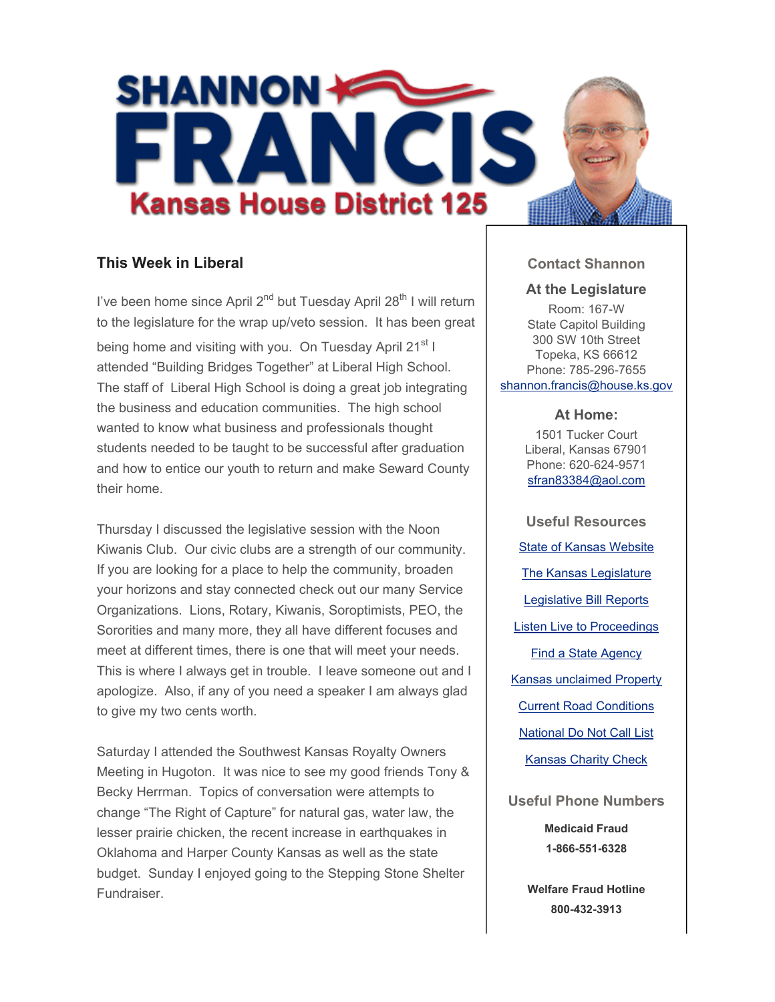

# **This Week in Liberal**

I've been home since April  $2^{nd}$  but Tuesday April  $28^{th}$  I will return to the legislature for the wrap up/veto session. It has been great being home and visiting with you. On Tuesday April 21<sup>st</sup> I attended "Building Bridges Together" at Liberal High School. The staff of Liberal High School is doing a great job integrating the business and education communities. The high school wanted to know what business and professionals thought students needed to be taught to be successful after graduation and how to entice our youth to return and make Seward County their home.

Thursday I discussed the legislative session with the Noon Kiwanis Club. Our civic clubs are a strength of our community. If you are looking for a place to help the community, broaden your horizons and stay connected check out our many Service Organizations. Lions, Rotary, Kiwanis, Soroptimists, PEO, the Sororities and many more, they all have different focuses and meet at different times, there is one that will meet your needs. This is where I always get in trouble. I leave someone out and I apologize. Also, if any of you need a speaker I am always glad to give my two cents worth.

Saturday I attended the Southwest Kansas Royalty Owners Meeting in Hugoton. It was nice to see my good friends Tony & Becky Herrman. Topics of conversation were attempts to change "The Right of Capture" for natural gas, water law, the lesser prairie chicken, the recent increase in earthquakes in Oklahoma and Harper County Kansas as well as the state budget. Sunday I enjoyed going to the Stepping Stone Shelter Fundraiser.

### **Contact Shannon**

#### **At the Legislature**

Room: 167-W State Capitol Building 300 SW 10th Street Topeka, KS 66612 Phone: 785-296-7655 shannon.francis@house.ks.gov

#### **At Home:**

1501 Tucker Court Liberal, Kansas 67901 Phone: 620-624-9571 sfran83384@aol.com

**Useful Resources** State of Kansas Website The Kansas Legislature Legislative Bill Reports Listen Live to Proceedings Find a State Agency Kansas unclaimed Property Current Road Conditions National Do Not Call List Kansas Charity Check

**Useful Phone Numbers Medicaid Fraud**

**1-866-551-6328**

**Welfare Fraud Hotline 800-432-3913**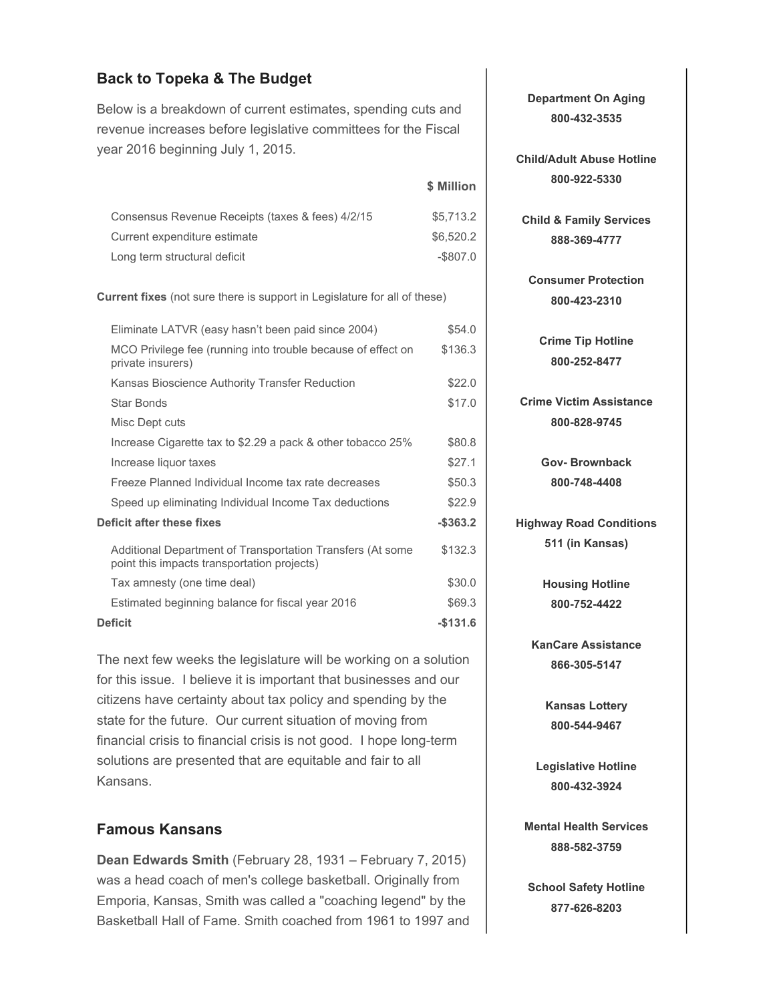## **Back to Topeka & The Budget**

Below is a breakdown of current estimates, spending cuts and revenue increases before legislative committees for the Fiscal year 2016 beginning July 1, 2015.

**\$ Million** Consensus Revenue Receipts (taxes & fees) 4/2/15 \$5,713.2 Current expenditure estimate  $$6,520.2$ Long term structural deficit  $-$ \$807.0

**Current fixes** (not sure there is support in Legislature for all of these)

| Eliminate LATVR (easy hasn't been paid since 2004)                                                        | \$54.0      |
|-----------------------------------------------------------------------------------------------------------|-------------|
| MCO Privilege fee (running into trouble because of effect on<br>private insurers)                         | \$136.3     |
| Kansas Bioscience Authority Transfer Reduction                                                            | \$22.0      |
| <b>Star Bonds</b>                                                                                         | \$17.0      |
| Misc Dept cuts                                                                                            |             |
| Increase Cigarette tax to \$2.29 a pack & other tobacco 25%                                               | \$80.8      |
| Increase liquor taxes                                                                                     | \$27.1      |
| Freeze Planned Individual Income tax rate decreases                                                       | \$50.3      |
| Speed up eliminating Individual Income Tax deductions                                                     | \$22.9      |
| Deficit after these fixes                                                                                 | $-$ \$363.2 |
| Additional Department of Transportation Transfers (At some<br>point this impacts transportation projects) | \$132.3     |
| Tax amnesty (one time deal)                                                                               | \$30.0      |
| Estimated beginning balance for fiscal year 2016                                                          | \$69.3      |
| Deficit                                                                                                   | $-$131.6$   |

The next few weeks the legislature will be working on a solution for this issue. I believe it is important that businesses and our citizens have certainty about tax policy and spending by the state for the future. Our current situation of moving from financial crisis to financial crisis is not good. I hope long-term solutions are presented that are equitable and fair to all Kansans.

### **Famous Kansans**

**Dean Edwards Smith** (February 28, 1931 – February 7, 2015) was a head coach of men's college basketball. Originally from Emporia, Kansas, Smith was called a "coaching legend" by the Basketball Hall of Fame. Smith coached from 1961 to 1997 and **Department On Aging 800-432-3535**

**Child/Adult Abuse Hotline 800-922-5330**

**Child & Family Services 888-369-4777**

**Consumer Protection 800-423-2310**

**Crime Tip Hotline 800-252-8477**

**Crime Victim Assistance 800-828-9745**

> **Gov- Brownback 800-748-4408**

**Highway Road Conditions 511 (in Kansas)**

> **Housing Hotline 800-752-4422**

**KanCare Assistance 866-305-5147**

> **Kansas Lottery 800-544-9467**

**Legislative Hotline 800-432-3924**

**Mental Health Services 888-582-3759**

**School Safety Hotline 877-626-8203**